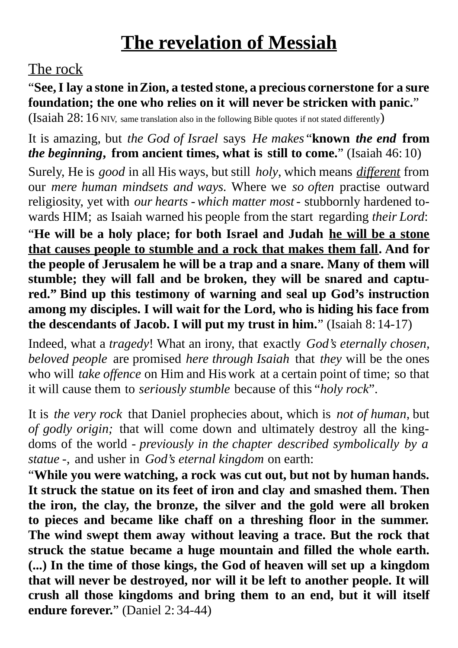# **The revelation of Messiah**

### The rock

#### "**See,I lay a stone inZion, a tested stone, a precious cornerstone for a sure foundation; the one who relies on it will never be stricken with panic.**"

(Isaiah 28: 16 NIV, same translation also in the following Bible quotes if not stated differently)

It is amazing, but *the God of Israel* says *He makes* "**known** *the end* **from** *the beginning***, from ancient times, what is still to come.**" (Isaiah 46: 10)

Surely, He is *good* in all His ways, but still *holy*, which means *different* from our *mere human mindsets and ways.* Where we *so often* practise outward religiosity, yet with *our hearts* -*which matter most-* stubbornly hardened towards HIM; as Isaiah warned his people from the start regarding *their Lord*:

"**He will be a holy place; for both Israel and Judah he will be a stone that causes people to stumble and a rock that makes them fall. And for the people of Jerusalem he will be a trap and a snare. Many of them will stumble; they will fall and be broken, they will be snared and captured." Bind up this testimony of warning and seal up God's instruction among my disciples. I will wait for the Lord, who is hiding his face from the descendants of Jacob. I will put my trust in him.**" (Isaiah 8:14-17)

Indeed, what a *tragedy*! What an irony, that exactly *God's eternally chosen, beloved people* are promised *here through Isaiah* that *they* will be the ones who will *take offence* on Him and His work at a certain point of time; so that it will cause them to *seriously stumble* because of this "*holy rock*".

It is *the very rock* that Daniel prophecies about, which is *not of human*, but *of godly origin;* that will come down and ultimately destroy all the kingdoms of the world - *previously in the chapter described symbolically by a statue -*, and usher in *God's eternal kingdom* on earth:

"**While you were watching, a rock was cut out, but not by human hands. It struck the statue on its feet of iron and clay and smashed them. Then the iron, the clay, the bronze, the silver and the gold were all broken to pieces and became like chaff on a threshing floor in the summer. The wind swept them away without leaving a trace. But the rock that struck the statue became a huge mountain and filled the whole earth. (...) In the time of those kings, the God of heaven will set up a kingdom that will never be destroyed, nor will it be left to another people. It will crush all those kingdoms and bring them to an end, but it will itself endure forever.**" (Daniel 2: 34-44)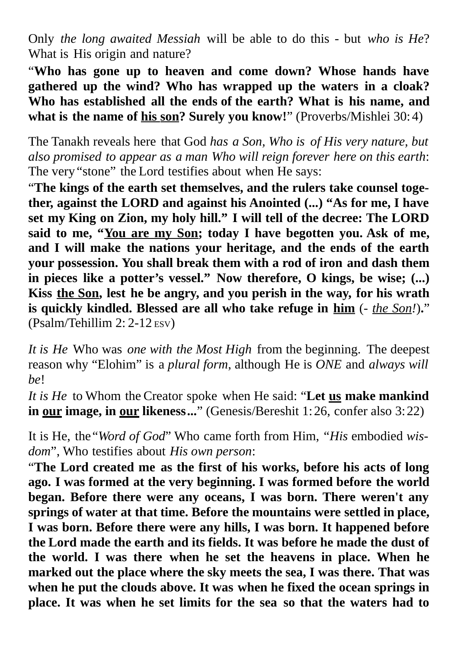Only *the long awaited Messiah* will be able to do this - but *who is He*? What is His origin and nature?

"**Who has gone up to heaven and come down? Whose hands have gathered up the wind? Who has wrapped up the waters in a cloak? Who has established all the ends of the earth? What is his name, and what is the name of his son? Surely you know!**" (Proverbs/Mishlei 30: 4)

The Tanakh reveals here that God *has a Son, Who is of His very nature, but also promised to appear as a man Who will reign forever here on this earth*: The very "stone" the Lord testifies about when He says:

"**The kings of the earth set themselves, and the rulers take counsel together, against the LORD and against his Anointed (...) "As for me, I have set my King on Zion, my holy hill." I will tell of the decree: The LORD said to me, "You are my Son; today I have begotten you. Ask of me, and I will make the nations your heritage, and the ends of the earth your possession. You shall break them with a rod of iron and dash them in pieces like a potter's vessel." Now therefore, O kings, be wise; (...) Kiss the Son, lest he be angry, and you perish in the way, for his wrath is quickly kindled. Blessed are all who take refuge in him** (- *the Son!*)**.**" (Psalm/Tehillim 2: 2-12 ESV)

*It is He* Who was *one with the Most High* from the beginning. The deepest reason why "Elohim" is a *plural form*, although He is *ONE* and *always will be*!

*It is He* to Whom the Creator spoke when He said: "**Let us make mankind in our image, in our likeness...**" (Genesis/Bereshit 1:26, confer also 3:22)

It is He, the"*Word of God*" Who came forth from Him, "*His* embodied *wisdom*", Who testifies about *His own person*:

"**The Lord created me as the first of his works, before his acts of long ago. I was formed at the very beginning. I was formed before the world began. Before there were any oceans, I was born. There weren't any springs of water at that time. Before the mountains were settled in place, I was born. Before there were any hills, I was born. It happened before the Lord made the earth and its fields. It was before he made the dust of the world. I was there when he set the heavens in place. When he marked out the place where the sky meets the sea, I was there. That was when he put the clouds above. It was when he fixed the ocean springs in place. It was when he set limits for the sea so that the waters had to**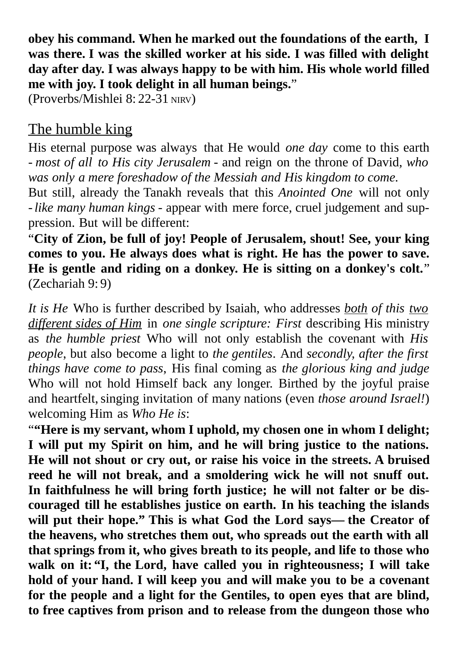**obey his command. When he marked out the foundations of the earth, I was there. I was the skilled worker at his side. I was filled with delight day after day. I was always happy to be with him. His whole world filled me with joy. I took delight in all human beings.**"

(Proverbs/Mishlei 8: 22-31 NIRV)

## The humble king

His eternal purpose was always that He would *one day* come to this earth - *most of all to His city Jerusalem* - and reign on the throne of David*, who was only a mere foreshadow of the Messiah and His kingdom to come.*

But still, already the Tanakh reveals that this *Anointed One* will not only -*like many human kings -* appear with mere force, cruel judgement and suppression. But will be different:

"**City of Zion, be full of joy! People of Jerusalem, shout! See, your king comes to you. He always does what is right. He has the power to save. He is gentle and riding on a donkey. He is sitting on a donkey's colt.**" (Zechariah 9: 9)

*It is He* Who is further described by Isaiah, who addresses *both of this two different sides of Him* in *one single scripture: First* describing His ministry as *the humble priest* Who will not only establish the covenant with *His people*, but also become a light to *the gentiles*. And *secondly, after the first things have come to pass*, His final coming as *the glorious king and judge* Who will not hold Himself back any longer. Birthed by the joyful praise and heartfelt, singing invitation of many nations (even *those around Israel!*) welcoming Him as *Who He is*:

"**"Here is my servant, whom I uphold, my chosen one in whom I delight; I will put my Spirit on him, and he will bring justice to the nations. He will not shout or cry out, or raise his voice in the streets. A bruised reed he will not break, and a smoldering wick he will not snuff out. In faithfulness he will bring forth justice; he will not falter or be discouraged till he establishes justice on earth. In his teaching the islands will put their hope." This is what God the Lord says— the Creator of the heavens, who stretches them out, who spreads out the earth with all that springs from it, who gives breath to its people, and life to those who walk on it: "I, the Lord, have called you in righteousness; I will take hold of your hand. I will keep you and will make you to be a covenant for the people and a light for the Gentiles, to open eyes that are blind, to free captives from prison and to release from the dungeon those who**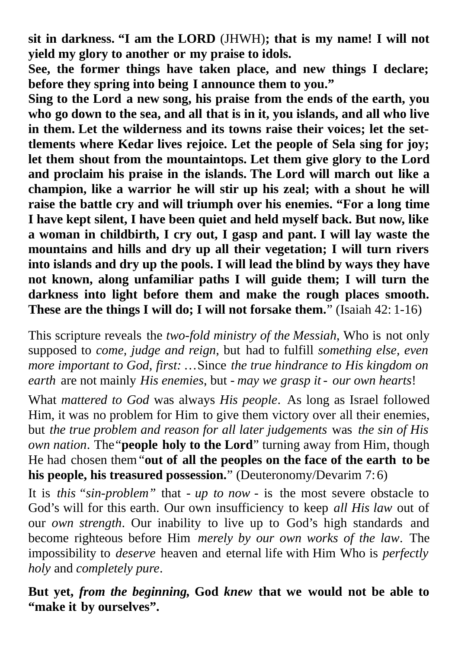**sit in darkness. "I am the LORD** (JHWH)**; that is my name! I will not yield my glory to another or my praise to idols.**

**See, the former things have taken place, and new things I declare; before they spring into being I announce them to you."**

**Sing to the Lord a new song, his praise from the ends of the earth, you who go down to the sea, and all that is in it, you islands, and all who live in them. Let the wilderness and its towns raise their voices; let the settlements where Kedar lives rejoice. Let the people of Sela sing for joy; let them shout from the mountaintops. Let them give glory to the Lord and proclaim his praise in the islands. The Lord will march out like a champion, like a warrior he will stir up his zeal; with a shout he will raise the battle cry and will triumph over his enemies. "For a long time I have kept silent, I have been quiet and held myself back. But now, like a woman in childbirth, I cry out, I gasp and pant. I will lay waste the mountains and hills and dry up all their vegetation; I will turn rivers into islands and dry up the pools. I will lead the blind by ways they have not known, along unfamiliar paths I will guide them; I will turn the darkness into light before them and make the rough places smooth. These are the things I will do; I will not forsake them.**" (Isaiah 42: 1-16)

This scripture reveals the *two-fold ministry of the Messiah*, Who is not only supposed to *come, judge and reign*, but had to fulfill *something else, even more important to God, first: …*Since *the true hindrance to His kingdom on earth* are not mainly *His enemies*, but - *may we grasp it* - *our own hearts*!

What *mattered to God* was always *His people*. As long as Israel followed Him, it was no problem for Him to give them victory over all their enemies, but *the true problem and reason for all later judgements* was *the sin of His own nation*. The"**people holy to the Lord**" turning away from Him, though He had chosen them"**out of all the peoples on the face of the earth to be his people, his treasured possession.**" (Deuteronomy/Devarim 7:6)

It is *this "sin-problem"* that - *up to now* - is the most severe obstacle to God's will for this earth. Our own insufficiency to keep *all His law* out of our *own strength*. Our inability to live up to God's high standards and become righteous before Him *merely by our own works of the law*. The impossibility to *deserve* heaven and eternal life with Him Who is *perfectly holy* and *completely pure*.

**But yet,** *from the beginning,* **God** *knew* **that we would not be able to "make it by ourselves".**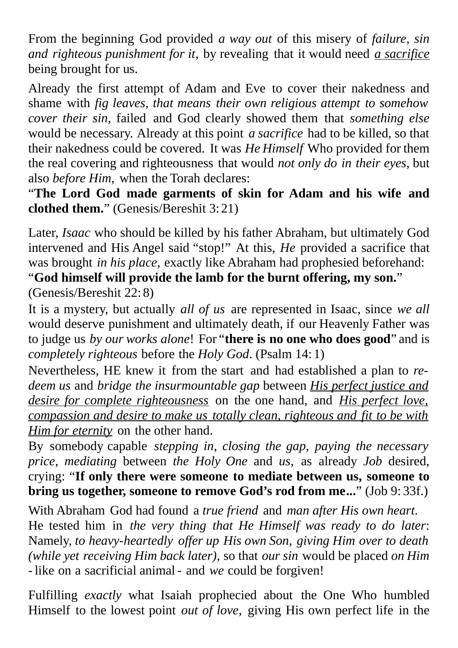From the beginning God provided *a way out* of this misery of *failure, sin and righteous punishment for it*, by revealing that it would need *a sacrifice* being brought for us.

Already the first attempt of Adam and Eve to cover their nakedness and shame with *fig leaves, that means their own religious attempt to somehow cover their sin*, failed and God clearly showed them that *something else* would be necessary. Already at this point *a sacrifice* had to be killed, so that their nakedness could be covered. It was *He Himself* Who provided for them the real covering and righteousness that would *not only do in their eyes,* but also *before Him*, when the Torah declares:

"**The Lord God made garments of skin for Adam and his wife and clothed them.**" (Genesis/Bereshit 3:21)

Later, *Isaac* who should be killed by his father Abraham, but ultimately God intervened and His Angel said "stop!" At this, *He* provided a sacrifice that was brought *in his place,* exactly like Abraham had prophesied beforehand:

"**God himself will provide the lamb for the burnt offering, my son.**"

(Genesis/Bereshit 22: 8)

It is a mystery, but actually *all of us* are represented in Isaac, since *we all* would deserve punishment and ultimately death, if our Heavenly Father was to judge us *by our works alone*! For "**there is no one who does good**" and is *completely righteous* before the *Holy God*. (Psalm 14: 1)

Nevertheless, HE knew it from the start and had established a plan to *redeem us* and *bridge the insurmountable gap* between *His perfect justice and desire for complete righteousness* on the one hand, and *His perfect love, compassion and desire to make us totally clean, righteous and fit to be with Him for eternity* on the other hand.

By somebody capable *stepping in*, *closing the gap*, *paying the necessary price*, *mediating* between *the Holy One* and *us*, as already *Job* desired, crying: "**If only there were someone to mediate between us, someone to bring us together, someone to remove God's rod from me...**" (Job 9: 33f.)

With Abraham God had found a *true friend* and *man after His own heart*. He tested him in *the very thing that He Himself was ready to do later*: Namely, *to heavy-heartedly offer up His own Son, giving Him over to death (while yet receiving Him back later)*, so that *our sin* would be placed *on Him* - like on a sacrificial animal - and *we* could be forgiven!

Fulfilling *exactly* what Isaiah prophecied about the One Who humbled Himself to the lowest point *out of love*, giving His own perfect life in the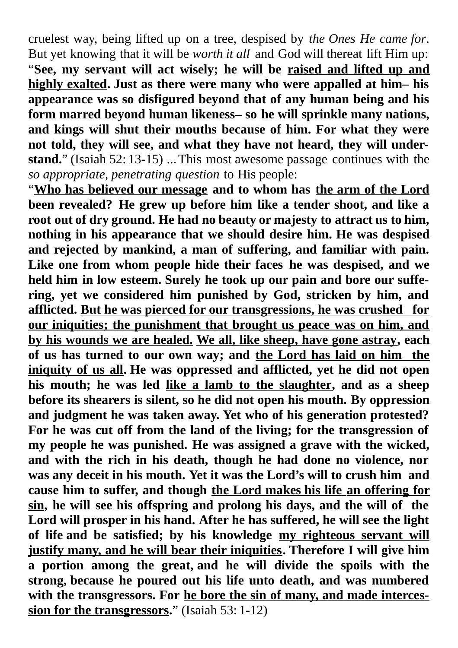cruelest way, being lifted up on a tree, despised by *the Ones He came for*. But yet knowing that it will be *worth it all* and God will thereat lift Him up: "**See, my servant will act wisely; he will be raised and lifted up and highly exalted. Just as there were many who were appalled at him– his appearance was so disfigured beyond that of any human being and his form marred beyond human likeness– so he will sprinkle many nations, and kings will shut their mouths because of him. For what they were not told, they will see, and what they have not heard, they will understand.**" (Isaiah 52: 13-15) ...This most awesome passage continues with the *so appropriate, penetrating question* to His people:

"**Who has believed our message and to whom has the arm of the Lord been revealed? He grew up before him like a tender shoot, and like a root out of dry ground. He had no beauty or majesty to attract us to him, nothing in his appearance that we should desire him. He was despised and rejected by mankind, a man of suffering, and familiar with pain. Like one from whom people hide their faces he was despised, and we held him in low esteem. Surely he took up our pain and bore our suffering, yet we considered him punished by God, stricken by him, and afflicted. But he was pierced for our transgressions, he was crushed for our iniquities; the punishment that brought us peace was on him, and by his wounds we are healed. We all, like sheep, have gone astray, each of us has turned to our own way; and the Lord has laid on him the iniquity of us all. He was oppressed and afflicted, yet he did not open his mouth; he was led like a lamb to the slaughter, and as a sheep before its shearers is silent, so he did not open his mouth. By oppression and judgment he was taken away. Yet who of his generation protested? For he was cut off from the land of the living; for the transgression of my people he was punished. He was assigned a grave with the wicked, and with the rich in his death, though he had done no violence, nor was any deceit in his mouth. Yet it was the Lord's will to crush him and cause him to suffer, and though the Lord makes his life an offering for sin, he will see his offspring and prolong his days, and the will of the Lord will prosper in his hand. After he has suffered, he will see the light of life and be satisfied; by his knowledge my righteous servant will justify many, and he will bear their iniquities. Therefore I will give him a portion among the great, and he will divide the spoils with the strong, because he poured out his life unto death, and was numbered with the transgressors. For he bore the sin of many, and made intercession for the transgressors.**" (Isaiah 53: 1-12)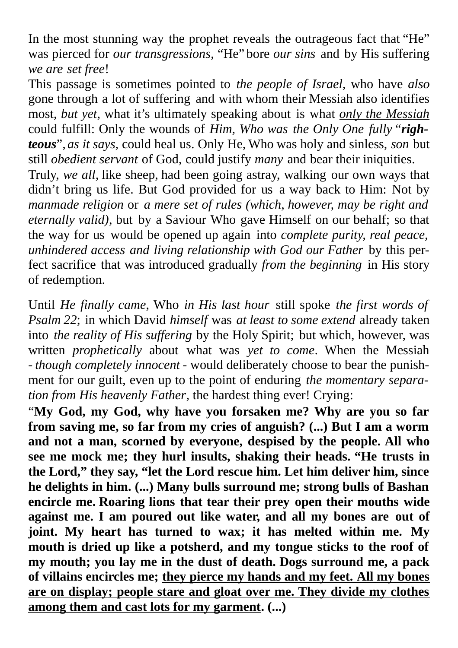In the most stunning way the prophet reveals the outrageous fact that "He" was pierced for *our transgressions*, "He" bore *our sins* and by His suffering *we are set free*!

This passage is sometimes pointed to *the people of Israel,* who have *also* gone through a lot of suffering and with whom their Messiah also identifies most, *but yet*, what it's ultimately speaking about is what *only the Messiah* could fulfill: Only the wounds of *Him, Who was the Only One fully "righteous*"*, as it says*, could heal us. Only He, Who was holy and sinless, *son* but still *obedient servant* of God, could justify *many* and bear their iniquities. Truly, *we all,* like sheep, had been going astray, walking our own ways that

didn't bring us life. But God provided for us a way back to Him: Not by *manmade religion* or *a mere set of rules (which, however, may be right and eternally valid)*, but by a Saviour Who gave Himself on our behalf; so that the way for us would be opened up again into *complete purity, real peace, unhindered access and living relationship with God our Father* by this perfect sacrifice that was introduced gradually *from the beginning* in His story of redemption.

Until *He finally came*, Who *in His last hour* still spoke *the first words of Psalm 22*; in which David *himself* was *at least to some extend* already taken into *the reality of His suffering* by the Holy Spirit; but which, however, was written *prophetically* about what was *yet to come*. When the Messiah - *though completely innocent* - would deliberately choose to bear the punishment for our guilt, even up to the point of enduring *the momentary separation from His heavenly Father*, the hardest thing ever! Crying:

"**My God, my God, why have you forsaken me? Why are you so far from saving me, so far from my cries of anguish? (...) But I am a worm and not a man, scorned by everyone, despised by the people. All who see me mock me; they hurl insults, shaking their heads. "He trusts in the Lord," they say, "let the Lord rescue him. Let him deliver him, since he delights in him. (...) Many bulls surround me; strong bulls of Bashan encircle me. Roaring lions that tear their prey open their mouths wide against me. I am poured out like water, and all my bones are out of joint. My heart has turned to wax; it has melted within me. My mouth is dried up like a potsherd, and my tongue sticks to the roof of my mouth; you lay me in the dust of death. Dogs surround me, a pack of villains encircles me; they pierce my hands and my feet. All my bones are on display; people stare and gloat over me. They divide my clothes among them and cast lots for my garment. (...)**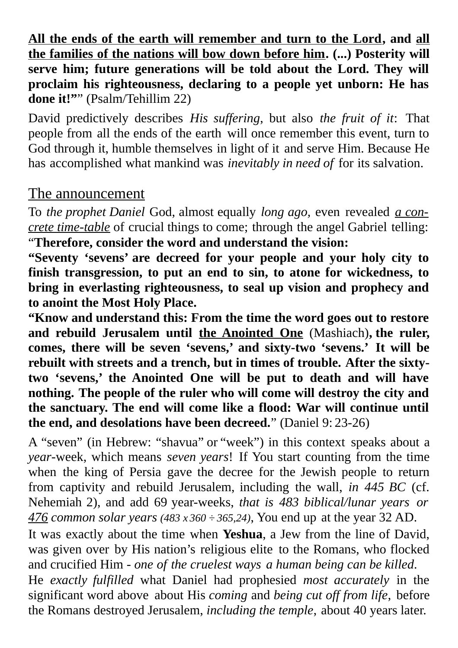**All the ends of the earth will remember and turn to the Lord, and all the families of the nations will bow down before him. (...) Posterity will serve him; future generations will be told about the Lord. They will proclaim his righteousness, declaring to a people yet unborn: He has done it!"**" (Psalm/Tehillim 22)

David predictively describes *His suffering*, but also *the fruit of it*: That people from all the ends of the earth will once remember this event, turn to God through it, humble themselves in light of it and serve Him. Because He has accomplished what mankind was *inevitably in need of* for its salvation.

#### The announcement

To *the prophet Daniel* God, almost equally *long ago,* even revealed *a concrete time-table* of crucial things to come; through the angel Gabriel telling: "**Therefore, consider the word and understand the vision:**

**"Seventy 'sevens' are decreed for your people and your holy city to finish transgression, to put an end to sin, to atone for wickedness, to bring in everlasting righteousness, to seal up vision and prophecy and to anoint the Most Holy Place.** 

**"Know and understand this: From the time the word goes out to restore and rebuild Jerusalem until the Anointed One** (Mashiach)**, the ruler, comes, there will be seven 'sevens,' and sixty-two 'sevens.' It will be rebuilt with streets and a trench, but in times of trouble. After the sixtytwo 'sevens,' the Anointed One will be put to death and will have nothing. The people of the ruler who will come will destroy the city and the sanctuary. The end will come like a flood: War will continue until the end, and desolations have been decreed.**" (Daniel 9: 23-26)

A "seven" (in Hebrew: "shavua" or "week") in this context speaks about a *year*-week, which means *seven years*! If You start counting from the time when the king of Persia gave the decree for the Jewish people to return from captivity and rebuild Jerusalem, including the wall, *in 445 BC* (cf. Nehemiah 2), and add 69 year-weeks, *that is 483 biblical/lunar years or 476 common solar years (483 x 360 ÷ 365,24)*, You end up at the year 32 AD.

It was exactly about the time when **Yeshua**, a Jew from the line of David, was given over by His nation's religious elite to the Romans, who flocked and crucified Him - *one of the cruelest ways a human being can be killed*. He *exactly fulfilled* what Daniel had prophesied *most accurately* in the significant word above about His *coming* and *being cut off from life*, before the Romans destroyed Jerusalem, *including the temple*, about 40 years later.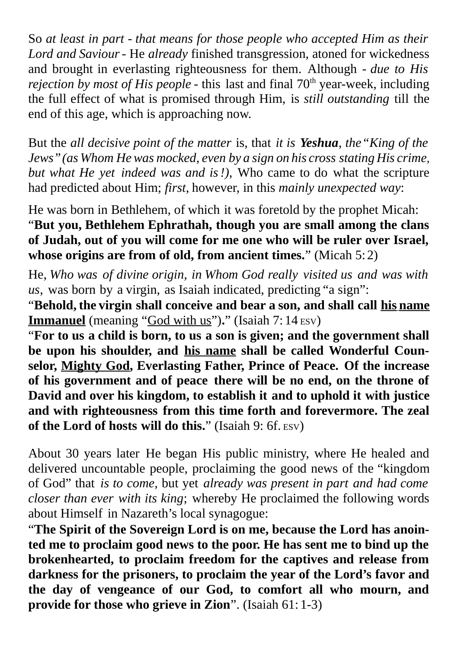So *at least in part - that means for those people who accepted Him as their Lord and Saviour*- He *already* finished transgression, atoned for wickedness and brought in everlasting righteousness for them. Although - *due to His rejection by most of His people* - this last and final 70<sup>th</sup> year-week, including the full effect of what is promised through Him, is *still outstanding* till the end of this age, which is approaching now.

But the *all decisive point of the matter* is, that *it is Yeshua*, *the"King of the Jews"(as Whom Hewas mocked, even by a sign on his cross stating His crime, but what He yet indeed was and is!)*, Who came to do what the scripture had predicted about Him; *first,* however, in this *mainly unexpected way*:

He was born in Bethlehem, of which it was foretold by the prophet Micah: "**But you, Bethlehem Ephrathah, though you are small among the clans of Judah, out of you will come for me one who will be ruler over Israel, whose origins are from of old, from ancient times.**" (Micah 5: 2)

He, *Who was of divine origin, in Whom God really visited us and was with us*, was born by a virgin, as Isaiah indicated, predicting "a sign":

"**Behold, the virgin shall conceive and bear a son, and shall call his name Immanuel** (meaning "God with us")." (Isaiah 7:14 ESV)

"**For to us a child is born, to us a son is given; and the government shall be upon his shoulder, and his name shall be called Wonderful Counselor, Mighty God, Everlasting Father, Prince of Peace. Of the increase of his government and of peace there will be no end, on the throne of David and over his kingdom, to establish it and to uphold it with justice and with righteousness from this time forth and forevermore. The zeal of the Lord of hosts will do this.**" (Isaiah 9: 6f. ESV)

About 30 years later He began His public ministry, where He healed and delivered uncountable people, proclaiming the good news of the "kingdom of God" that *is to come,* but yet *already was present in part and had come closer than ever with its king*; whereby He proclaimed the following words about Himself in Nazareth's local synagogue:

"**The Spirit of the Sovereign Lord is on me, because the Lord has anointed me to proclaim good news to the poor. He has sent me to bind up the brokenhearted, to proclaim freedom for the captives and release from darkness for the prisoners, to proclaim the year of the Lord's favor and the day of vengeance of our God, to comfort all who mourn, and provide for those who grieve in Zion**". (Isaiah 61: 1-3)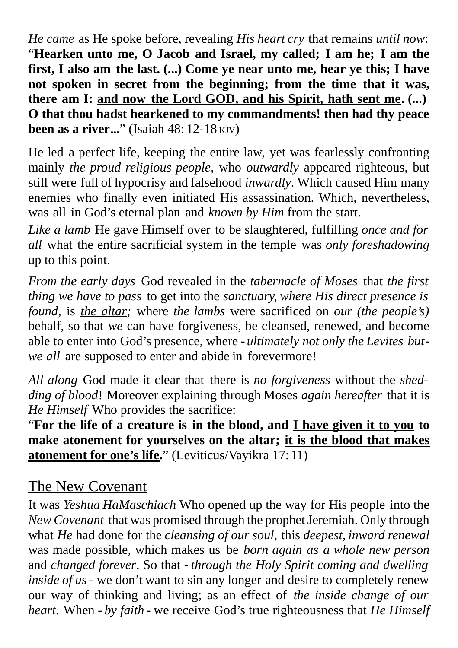*He came* as He spoke before, revealing *His heart cry* that remains *until now*: "**Hearken unto me, O Jacob and Israel, my called; I am he; I am the first, I also am the last. (...) Come ye near unto me, hear ye this; I have not spoken in secret from the beginning; from the time that it was, there am I: and now the Lord GOD, and his Spirit, hath sent me. (...) O that thou hadst hearkened to my commandments! then had thy peace been as a river...**" (Isaiah 48: 12-18 KJV)

He led a perfect life, keeping the entire law, yet was fearlessly confronting mainly *the proud religious people*, who *outwardly* appeared righteous, but still were full of hypocrisy and falsehood *inwardly*. Which caused Him many enemies who finally even initiated His assassination. Which, nevertheless, was all in God's eternal plan and *known by Him* from the start.

*Like a lamb* He gave Himself over to be slaughtered, fulfilling *once and for all* what the entire sacrificial system in the temple was *only foreshadowing* up to this point.

*From the early days* God revealed in the *tabernacle of Moses* that *the first thing we have to pass* to get into the *sanctuary, where His direct presence is found*, is *the altar;* where *the lambs* were sacrificed on *our (the people's)* behalf, so that *we* can have forgiveness, be cleansed, renewed, and become able to enter into God's presence, where - *ultimately not only the Levites butwe all* are supposed to enter and abide in forevermore!

*All along* God made it clear that there is *no forgiveness* without the *shedding of blood*! Moreover explaining through Moses *again hereafter* that it is *He Himself* Who provides the sacrifice:

"**For the life of a creature is in the blood, and I have given it to you to make atonement for yourselves on the altar; it is the blood that makes atonement for one's life.**" (Leviticus/Vayikra 17: 11)

### The New Covenant

It was *Yeshua HaMaschiach* Who opened up the way for His people into the *New Covenant* that was promised through the prophet Jeremiah. Only through what *He* had done for the *cleansing of our soul*, this *deepest, inward renewal* was made possible, which makes us be *born again as a whole new person* and *changed forever*. So that - *through the Holy Spirit coming and dwelling inside of us*- we don't want to sin any longer and desire to completely renew our way of thinking and living; as an effect of *the inside change of our heart*. When - *by faith* - we receive God's true righteousness that *He Himself*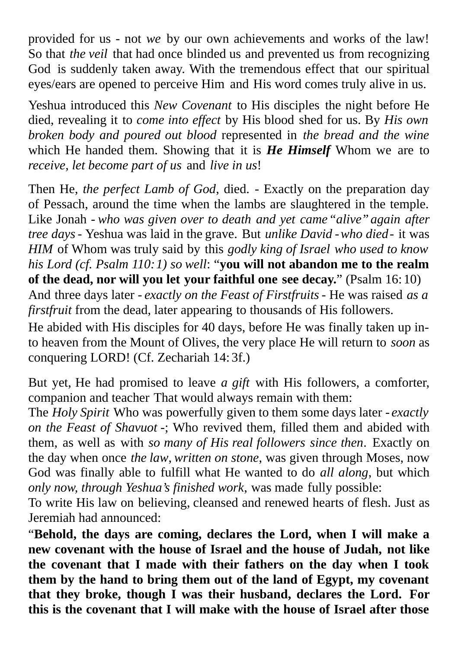provided for us - not *we* by our own achievements and works of the law! So that *the veil* that had once blinded us and prevented us from recognizing God is suddenly taken away. With the tremendous effect that our spiritual eyes/ears are opened to perceive Him and His word comes truly alive in us.

Yeshua introduced this *New Covenant* to His disciples the night before He died, revealing it to *come into effect* by His blood shed for us. By *His own broken body and poured out blood* represented in *the bread and the wine* which He handed them. Showing that it is *He Himself* Whom we are to *receive, let become part of us* and *live in us*!

Then He, *the perfect Lamb of God*, died. - Exactly on the preparation day of Pessach, around the time when the lambs are slaughtered in the temple. Like Jonah *- who was given over to death and yet came"alive"again after tree days-* Yeshua was laid in the grave. But *unlike David -who died-* it was *HIM* of Whom was truly said by this *godly king of Israel who used to know his Lord (cf. Psalm 110:1) so well*: "**you will not abandon me to the realm of the dead, nor will you let your faithful one see decay.**" (Psalm 16: 10) And three days later - *exactly on the Feast of Firstfruits-* He was raised *as a firstfruit* from the dead, later appearing to thousands of His followers.

He abided with His disciples for 40 days, before He was finally taken up into heaven from the Mount of Olives, the very place He will return to *soon* as conquering LORD! (Cf. Zechariah 14: 3f.)

But yet, He had promised to leave *a gift* with His followers, a comforter, companion and teacher That would always remain with them:

The *Holy Spirit* Who was powerfully given to them some days later - *exactly on the Feast of Shavuot* -; Who revived them, filled them and abided with them, as well as with *so many of His real followers since then*. Exactly on the day when once *the law*, *written on stone*, was given through Moses, now God was finally able to fulfill what He wanted to do *all along*, but which *only now, through Yeshua's finished work*, was made fully possible:

To write His law on believing, cleansed and renewed hearts of flesh. Just as Jeremiah had announced:

"**Behold, the days are coming, declares the Lord, when I will make a new covenant with the house of Israel and the house of Judah, not like the covenant that I made with their fathers on the day when I took them by the hand to bring them out of the land of Egypt, my covenant that they broke, though I was their husband, declares the Lord. For this is the covenant that I will make with the house of Israel after those**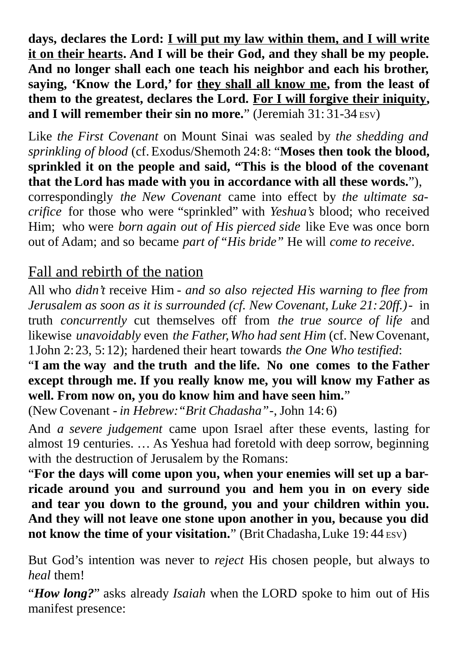**days, declares the Lord: I will put my law within them, and I will write it on their hearts. And I will be their God, and they shall be my people. And no longer shall each one teach his neighbor and each his brother, saying, 'Know the Lord,' for they shall all know me, from the least of them to the greatest, declares the Lord. For I will forgive their iniquity, and I will remember their sin no more.**" (Jeremiah 31: 31-34 ESV)

Like *the First Covenant* on Mount Sinai was sealed by *the shedding and sprinkling of blood* (cf. Exodus/Shemoth 24:8: "**Moses then took the blood, sprinkled it on the people and said, "This is the blood of the covenant that the Lord has made with you in accordance with all these words.**"), correspondingly *the New Covenant* came into effect by *the ultimate sacrifice* for those who were "sprinkled" with *Yeshua's* blood; who received Him; who were *born again out of His pierced side* like Eve was once born out of Adam; and so became *part of "His bride"* He will *come to receive*.

## Fall and rebirth of the nation

All who *didn't* receive Him - *and so also rejected His warning to flee from Jerusalem as soon as it is surrounded (cf. New Covenant, Luke 21: 20ff.)*- in truth *concurrently* cut themselves off from *the true source of life* and likewise *unavoidably* even *the Father,Who had sent Him* (cf. New Covenant, 1John 2:23, 5:12); hardened their heart towards *the One Who testified*:

"**I am the way and the truth and the life. No one comes to the Father except through me. If you really know me, you will know my Father as well. From now on, you do know him and have seen him.**"

(New Covenant *- in Hebrew:"Brit Chadasha"-*, John 14: 6)

And *a severe judgement* came upon Israel after these events, lasting for almost 19 centuries. … As Yeshua had foretold with deep sorrow, beginning with the destruction of Jerusalem by the Romans:

"**For the days will come upon you, when your enemies will set up a barricade around you and surround you and hem you in on every side and tear you down to the ground, you and your children within you. And they will not leave one stone upon another in you, because you did not know the time of your visitation.**" (Brit Chadasha, Luke 19:44 ESV)

But God's intention was never to *reject* His chosen people, but always to *heal* them!

"*How long?*" asks already *Isaiah* when the LORD spoke to him out of His manifest presence: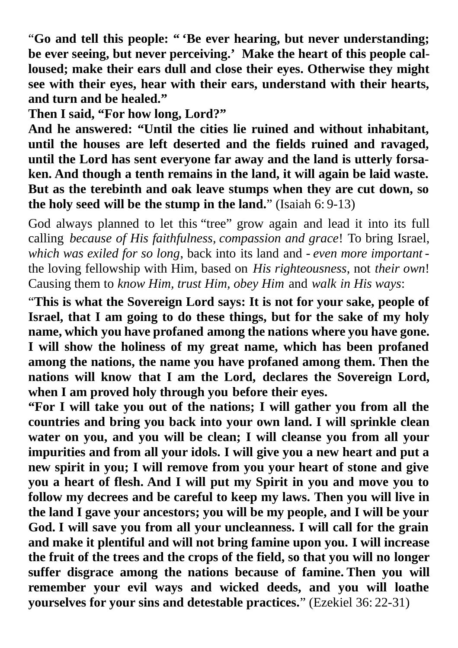"**Go and tell this people: " 'Be ever hearing, but never understanding; be ever seeing, but never perceiving.' Make the heart of this people calloused; make their ears dull and close their eyes. Otherwise they might see with their eyes, hear with their ears, understand with their hearts, and turn and be healed."**

**Then I said, "For how long, Lord?"** 

**And he answered: "Until the cities lie ruined and without inhabitant, until the houses are left deserted and the fields ruined and ravaged, until the Lord has sent everyone far away and the land is utterly forsaken. And though a tenth remains in the land, it will again be laid waste. But as the terebinth and oak leave stumps when they are cut down, so the holy seed will be the stump in the land.**" (Isaiah 6: 9-13)

God always planned to let this "tree" grow again and lead it into its full calling *because of His faithfulness, compassion and grace*! To bring Israel, *which was exiled for so long*, back into its land and - *even more important*  the loving fellowship with Him, based on *His righteousness*, not *their own*! Causing them to *know Him, trust Him, obey Him* and *walk in His ways*:

"**This is what the Sovereign Lord says: It is not for your sake, people of Israel, that I am going to do these things, but for the sake of my holy name, which you have profaned among the nations where you have gone. I will show the holiness of my great name, which has been profaned among the nations, the name you have profaned among them. Then the nations will know that I am the Lord, declares the Sovereign Lord, when I am proved holy through you before their eyes.** 

**"For I will take you out of the nations; I will gather you from all the countries and bring you back into your own land. I will sprinkle clean water on you, and you will be clean; I will cleanse you from all your impurities and from all your idols. I will give you a new heart and put a new spirit in you; I will remove from you your heart of stone and give you a heart of flesh. And I will put my Spirit in you and move you to follow my decrees and be careful to keep my laws. Then you will live in the land I gave your ancestors; you will be my people, and I will be your God. I will save you from all your uncleanness. I will call for the grain and make it plentiful and will not bring famine upon you. I will increase the fruit of the trees and the crops of the field, so that you will no longer suffer disgrace among the nations because of famine. Then you will remember your evil ways and wicked deeds, and you will loathe yourselves for your sins and detestable practices.**" (Ezekiel 36: 22-31)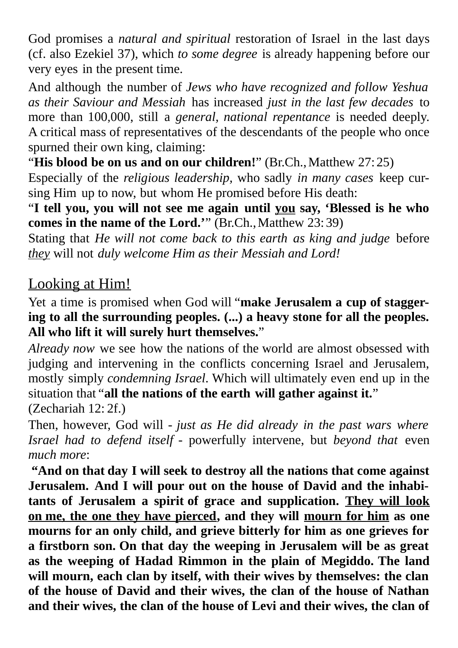God promises a *natural and spiritual* restoration of Israel in the last days (cf. also Ezekiel 37), which *to some degree* is already happening before our very eyes in the present time.

And although the number of *Jews who have recognized and follow Yeshua as their Saviour and Messiah* has increased *just in the last few decades* to more than 100,000, still a *general, national repentance* is needed deeply. A critical mass of representatives of the descendants of the people who once spurned their own king, claiming:

"**His blood be on us and on our children!**" (Br.Ch.,Matthew 27: 25)

Especially of the *religious leadership,* who sadly *in many cases* keep cursing Him up to now, but whom He promised before His death:

"**I tell you, you will not see me again until you say, 'Blessed is he who comes in the name of the Lord.'**" (Br.Ch., Matthew 23:39)

Stating that *He will not come back to this earth as king and judge* before *they* will not *duly welcome Him as their Messiah and Lord!*

#### Looking at Him!

Yet a time is promised when God will "**make Jerusalem a cup of staggering to all the surrounding peoples. (...) a heavy stone for all the peoples. All who lift it will surely hurt themselves.**"

*Already now* we see how the nations of the world are almost obsessed with judging and intervening in the conflicts concerning Israel and Jerusalem, mostly simply *condemning Israel*. Which will ultimately even end up in the situation that "**all the nations of the earth will gather against it.**" (Zechariah 12: 2f.)

Then, however, God will - *just as He did already in the past wars where Israel had to defend itself* - powerfully intervene, but *beyond that* even *much more*:

**"And on that day I will seek to destroy all the nations that come against Jerusalem. And I will pour out on the house of David and the inhabitants of Jerusalem a spirit of grace and supplication. They will look on me, the one they have pierced, and they will mourn for him as one mourns for an only child, and grieve bitterly for him as one grieves for a firstborn son. On that day the weeping in Jerusalem will be as great as the weeping of Hadad Rimmon in the plain of Megiddo. The land will mourn, each clan by itself, with their wives by themselves: the clan of the house of David and their wives, the clan of the house of Nathan and their wives, the clan of the house of Levi and their wives, the clan of**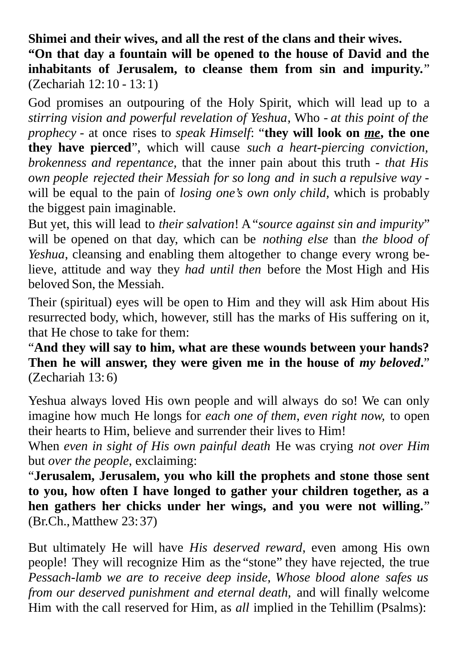**Shimei and their wives, and all the rest of the clans and their wives. "On that day a fountain will be opened to the house of David and the inhabitants of Jerusalem, to cleanse them from sin and impurity.**" (Zechariah 12:10 - 13:1)

God promises an outpouring of the Holy Spirit, which will lead up to a *stirring vision and powerful revelation of Yeshua*, Who - *at this point of the prophecy* - at once rises to *speak Himself*: "**they will look on** *me***, the one they have pierced**", which will cause *such a heart-piercing conviction, brokenness and repentance,* that the inner pain about this truth - *that His own people rejected their Messiah for so long and in such a repulsive way* will be equal to the pain of *losing one's own only child,* which is probably the biggest pain imaginable.

But yet, this will lead to *their salvation*! A"*source against sin and impurity*" will be opened on that day, which can be *nothing else* than *the blood of Yeshua*, cleansing and enabling them altogether to change every wrong believe, attitude and way they *had until then* before the Most High and His beloved Son, the Messiah.

Their (spiritual) eyes will be open to Him and they will ask Him about His resurrected body, which, however, still has the marks of His suffering on it, that He chose to take for them:

"**And they will say to him, what are these wounds between your hands? Then he will answer, they were given me in the house of** *my beloved***.**" (Zechariah 13: 6)

Yeshua always loved His own people and will always do so! We can only imagine how much He longs for *each one of them*, *even right now,* to open their hearts to Him, believe and surrender their lives to Him!

When *even in sight of His own painful death* He was crying *not over Him* but *over the people*, exclaiming:

"**Jerusalem, Jerusalem, you who kill the prophets and stone those sent to you, how often I have longed to gather your children together, as a hen gathers her chicks under her wings, and you were not willing.**" (Br.Ch., Matthew 23: 37)

But ultimately He will have *His deserved reward*, even among His own people! They will recognize Him as the "stone" they have rejected, the true *Pessach-lamb we are to receive deep inside, Whose blood alone safes us from our deserved punishment and eternal death,* and will finally welcome Him with the call reserved for Him, as *all* implied in the Tehillim (Psalms):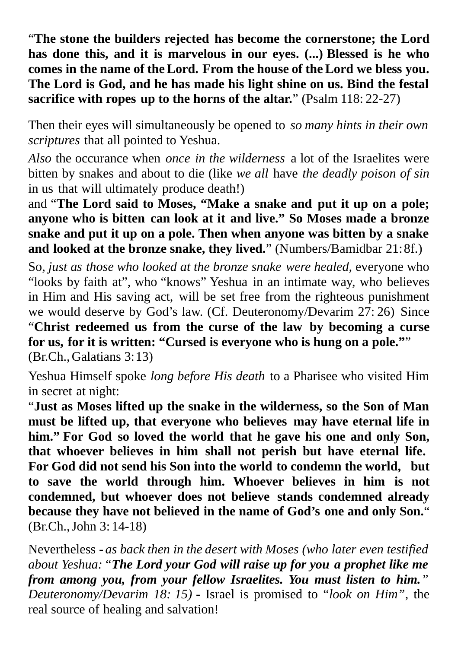"**The stone the builders rejected has become the cornerstone; the Lord has done this, and it is marvelous in our eyes. (...) Blessed is he who comes in the name of the Lord. From the house of the Lord we bless you. The Lord is God, and he has made his light shine on us. Bind the festal sacrifice with ropes up to the horns of the altar.**" (Psalm 118: 22-27)

Then their eyes will simultaneously be opened to *so many hints in their own scriptures* that all pointed to Yeshua.

*Also* the occurance when *once in the wilderness* a lot of the Israelites were bitten by snakes and about to die (like *we all* have *the deadly poison of sin* in us that will ultimately produce death!)

and "**The Lord said to Moses, "Make a snake and put it up on a pole; anyone who is bitten can look at it and live." So Moses made a bronze snake and put it up on a pole. Then when anyone was bitten by a snake and looked at the bronze snake, they lived.**" (Numbers/Bamidbar 21:8f.)

So, *just as those who looked at the bronze snake were healed,* everyone who "looks by faith at", who "knows" Yeshua in an intimate way, who believes in Him and His saving act, will be set free from the righteous punishment we would deserve by God's law. (Cf. Deuteronomy/Devarim 27: 26) Since "**Christ redeemed us from the curse of the law by becoming a curse for us, for it is written: "Cursed is everyone who is hung on a pole."**" (Br.Ch.,Galatians 3:13)

Yeshua Himself spoke *long before His death* to a Pharisee who visited Him in secret at night:

"**Just as Moses lifted up the snake in the wilderness, so the Son of Man must be lifted up, that everyone who believes may have eternal life in him." For God so loved the world that he gave his one and only Son, that whoever believes in him shall not perish but have eternal life. For God did not send his Son into the world to condemn the world, but to save the world through him. Whoever believes in him is not condemned, but whoever does not believe stands condemned already because they have not believed in the name of God's one and only Son.**" (Br.Ch.,John 3: 14-18)

Nevertheless - *as back then in the desert with Moses (who later even testified about Yeshua: "The Lord your God will raise up for you a prophet like me from among you, from your fellow Israelites. You must listen to him." Deuteronomy/Devarim 18: 15)* - Israel is promised to "*look on Him"*, the real source of healing and salvation!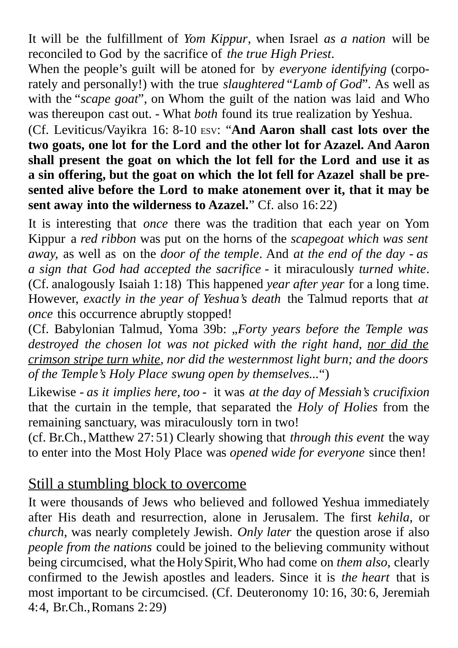It will be the fulfillment of *Yom Kippur*, when Israel *as a nation* will be reconciled to God by the sacrifice of *the true High Priest*.

When the people's guilt will be atoned for by *everyone identifying* (corporately and personally!) with the true *slaughtered"Lamb of God*"*.* As well as with the "*scape goat*", on Whom the guilt of the nation was laid and Who was thereupon cast out. - What *both* found its true realization by Yeshua.

(Cf. Leviticus/Vayikra 16: 8-10 ESV: "**And Aaron shall cast lots over the two goats, one lot for the Lord and the other lot for Azazel. And Aaron shall present the goat on which the lot fell for the Lord and use it as a sin offering, but the goat on which the lot fell for Azazel shall be presented alive before the Lord to make atonement over it, that it may be sent away into the wilderness to Azazel.**" Cf. also 16:22)

It is interesting that *once* there was the tradition that each year on Yom Kippur a *red ribbon* was put on the horns of the *scapegoat which was sent away,* as well as on the *door of the temple*. And *at the end of the day - as a sign that God had accepted the sacrifice* - it miraculously *turned white*. (Cf. analogously Isaiah 1:18) This happened *year after year* for a long time. However, *exactly in the year of Yeshua's death* the Talmud reports that *at once* this occurrence abruptly stopped!

(Cf. Babylonian Talmud, Yoma 39b: "*Forty years before the Temple was destroyed the chosen lot was not picked with the right hand, nor did the crimson stripe turn white, nor did the westernmost light burn; and the doors of the Temple's Holy Place swung open by themselves...*")

Likewise - *as it implies here, too* - it was *at the day of Messiah's crucifixion* that the curtain in the temple, that separated the *Holy of Holies* from the remaining sanctuary, was miraculously torn in two!

(cf. Br.Ch.,Matthew 27: 51) Clearly showing that *through this event* the way to enter into the Most Holy Place was *opened wide for everyone* since then!

#### Still a stumbling block to overcome

It were thousands of Jews who believed and followed Yeshua immediately after His death and resurrection, alone in Jerusalem. The first *kehila*, or *church*, was nearly completely Jewish. *Only later* the question arose if also *people from the nations* could be joined to the believing community without being circumcised, what the HolySpirit,Who had come on *them also*, clearly confirmed to the Jewish apostles and leaders. Since it is *the heart* that is most important to be circumcised. (Cf. Deuteronomy 10:16, 30: 6, Jeremiah 4:4, Br.Ch.,Romans 2:29)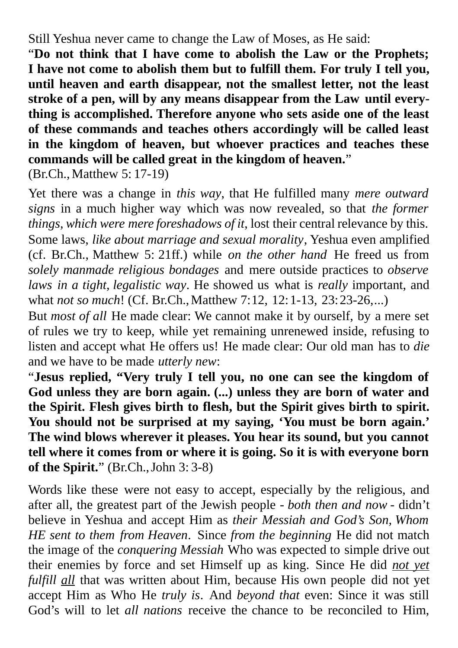Still Yeshua never came to change the Law of Moses, as He said:

"**Do not think that I have come to abolish the Law or the Prophets; I have not come to abolish them but to fulfill them. For truly I tell you, until heaven and earth disappear, not the smallest letter, not the least stroke of a pen, will by any means disappear from the Law until everything is accomplished. Therefore anyone who sets aside one of the least of these commands and teaches others accordingly will be called least in the kingdom of heaven, but whoever practices and teaches these commands will be called great in the kingdom of heaven.**"

(Br.Ch., Matthew 5: 17-19)

Yet there was a change in *this way*, that He fulfilled many *mere outward signs* in a much higher way which was now revealed, so that *the former things, which were mere foreshadows of it*, lost their central relevance by this. Some laws, *like about marriage and sexual morality*, Yeshua even amplified (cf. Br.Ch., Matthew 5: 21ff.) while *on the other hand* He freed us from *solely manmade religious bondages* and mere outside practices to *observe laws in a tight, legalistic way*. He showed us what is *really* important, and what *not so much*! (Cf. Br.Ch., Matthew 7:12, 12:1-13, 23:23-26,...)

But *most of all* He made clear: We cannot make it by ourself, by a mere set of rules we try to keep, while yet remaining unrenewed inside, refusing to listen and accept what He offers us! He made clear: Our old man has to *die* and we have to be made *utterly new*:

"**Jesus replied, "Very truly I tell you, no one can see the kingdom of God unless they are born again. (...) unless they are born of water and the Spirit. Flesh gives birth to flesh, but the Spirit gives birth to spirit. You should not be surprised at my saying, 'You must be born again.' The wind blows wherever it pleases. You hear its sound, but you cannot tell where it comes from or where it is going. So it is with everyone born of the Spirit.**" (Br.Ch.,John 3: 3-8)

Words like these were not easy to accept, especially by the religious, and after all, the greatest part of the Jewish people - *both then and now* - didn't believe in Yeshua and accept Him as *their Messiah and God's Son, Whom HE sent to them from Heaven*. Since *from the beginning* He did not match the image of the *conquering Messiah* Who was expected to simple drive out their enemies by force and set Himself up as king. Since He did *not yet fulfill all* that was written about Him, because His own people did not yet accept Him as Who He *truly is*. And *beyond that* even: Since it was still God's will to let *all nations* receive the chance to be reconciled to Him,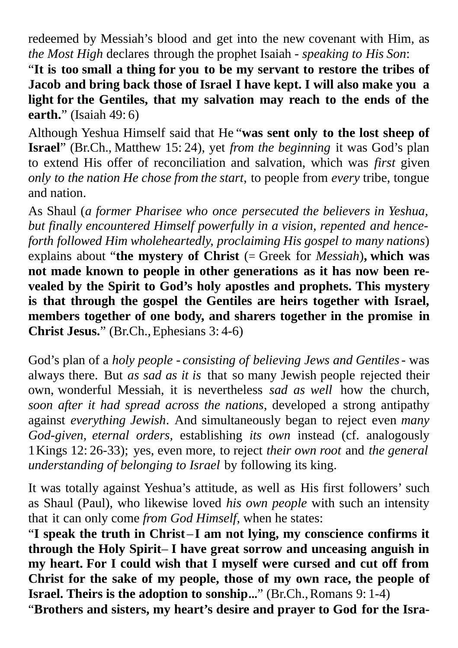redeemed by Messiah's blood and get into the new covenant with Him, as *the Most High* declares through the prophet Isaiah - *speaking to His Son*:

"**It is too small a thing for you to be my servant to restore the tribes of Jacob and bring back those of Israel I have kept. I will also make you a light for the Gentiles, that my salvation may reach to the ends of the earth.**" (Isaiah 49: 6)

Although Yeshua Himself said that He "**was sent only to the lost sheep of Israel**" (Br.Ch., Matthew 15: 24), yet *from the beginning* it was God's plan to extend His offer of reconciliation and salvation, which was *first* given *only to the nation He chose from the start*, to people from *every* tribe, tongue and nation.

As Shaul (*a former Pharisee who once persecuted the believers in Yeshua, but finally encountered Himself powerfully in a vision, repented and henceforth followed Him wholeheartedly, proclaiming His gospel to many nations*) explains about "**the mystery of Christ** (= Greek for *Messiah*)**, which was not made known to people in other generations as it has now been revealed by the Spirit to God's holy apostles and prophets. This mystery is that through the gospel the Gentiles are heirs together with Israel, members together of one body, and sharers together in the promise in Christ Jesus.**" (Br.Ch.,Ephesians 3: 4-6)

God's plan of a *holy people - consisting of believing Jews and Gentiles*- was always there. But *as sad as it is* that so many Jewish people rejected their own, wonderful Messiah, it is nevertheless *sad as well* how the church, *soon after it had spread across the nations*, developed a strong antipathy against *everything Jewish*. And simultaneously began to reject even *many God-given, eternal orders,* establishing *its own* instead (cf. analogously 1Kings 12: 26-33); yes, even more, to reject *their own root* and *the general understanding of belonging to Israel* by following its king.

It was totally against Yeshua's attitude, as well as His first followers' such as Shaul (Paul), who likewise loved *his own people* with such an intensity that it can only come *from God Himself*, when he states:

"**I speak the truth in Christ** –**I am not lying, my conscience confirms it through the Holy Spirit**– **I have great sorrow and unceasing anguish in my heart. For I could wish that I myself were cursed and cut off from Christ for the sake of my people, those of my own race, the people of Israel. Theirs is the adoption to sonship...**" (Br.Ch., Romans 9: 1-4)

"**Brothers and sisters, my heart's desire and prayer to God for the Isra-**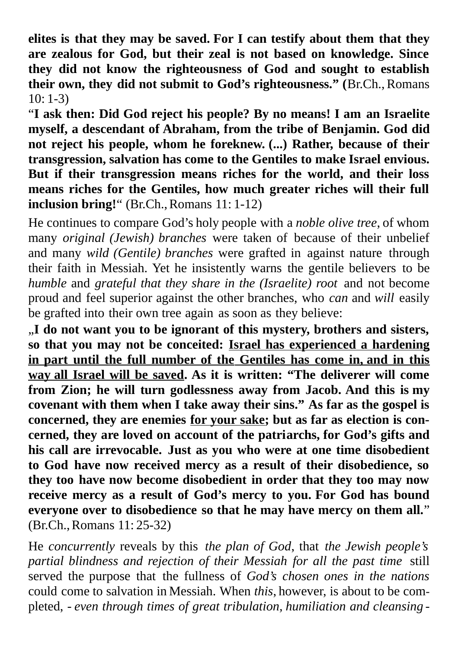**elites is that they may be saved. For I can testify about them that they are zealous for God, but their zeal is not based on knowledge. Since they did not know the righteousness of God and sought to establish their own, they did not submit to God's righteousness."** (Br.Ch., Romans 10: 1-3)

"**I ask then: Did God reject his people? By no means! I am an Israelite myself, a descendant of Abraham, from the tribe of Benjamin. God did not reject his people, whom he foreknew. (...) Rather, because of their transgression, salvation has come to the Gentiles to make Israel envious. But if their transgression means riches for the world, and their loss means riches for the Gentiles, how much greater riches will their full inclusion bring!**" (Br.Ch., Romans 11: 1-12)

He continues to compare God's holy people with a *noble olive tree*, of whom many *original (Jewish) branches* were taken of because of their unbelief and many *wild (Gentile) branches* were grafted in against nature through their faith in Messiah. Yet he insistently warns the gentile believers to be *humble* and *grateful that they share in the (Israelite) root* and not become proud and feel superior against the other branches, who *can* and *will* easily be grafted into their own tree again as soon as they believe:

"**I do not want you to be ignorant of this mystery, brothers and sisters, so that you may not be conceited: Israel has experienced a hardening in part until the full number of the Gentiles has come in, and in this way all Israel will be saved. As it is written: "The deliverer will come from Zion; he will turn godlessness away from Jacob. And this is my covenant with them when I take away their sins." As far as the gospel is concerned, they are enemies for your sake; but as far as election is concerned, they are loved on account of the patriarchs, for God's gifts and his call are irrevocable. Just as you who were at one time disobedient to God have now received mercy as a result of their disobedience, so they too have now become disobedient in order that they too may now receive mercy as a result of God's mercy to you. For God has bound everyone over to disobedience so that he may have mercy on them all.**" (Br.Ch.,Romans 11: 25-32)

He *concurrently* reveals by this *the plan of God*, that *the Jewish people's partial blindness and rejection of their Messiah for all the past time* still served the purpose that the fullness of *God's chosen ones in the nations* could come to salvation in Messiah. When *this*, however, is about to be completed, - *even through times of great tribulation, humiliation and cleansing* -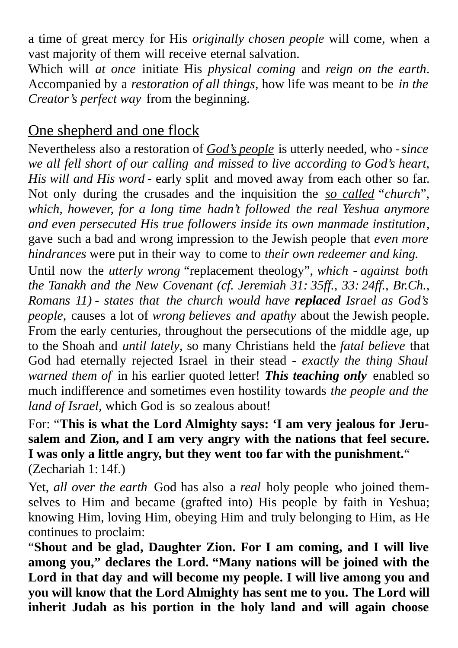a time of great mercy for His *originally chosen people* will come, when a vast majority of them will receive eternal salvation.

Which will *at once* initiate His *physical coming* and *reign on the earth*. Accompanied by a *restoration of all things*, how life was meant to be *in the Creator's perfect way* from the beginning.

## One shepherd and one flock

Nevertheless also a restoration of *God's people* is utterly needed, who -*since we all fell short of our calling and missed to live according to God's heart, His will and His word* - early split and moved away from each other so far. Not only during the crusades and the inquisition the *so called "church*", *which, however, for a long time hadn't followed the real Yeshua anymore and even persecuted His true followers inside its own manmade institution*, gave such a bad and wrong impression to the Jewish people that *even more hindrances* were put in their way to come to *their own redeemer and king.*

Until now the *utterly wrong* "replacement theology", *which - against both the Tanakh and the New Covenant (cf. Jeremiah 31: 35ff., 33: 24ff., Br.Ch., Romans 11) - states that the church would have replaced Israel as God's people*, causes a lot of *wrong believes and apathy* about the Jewish people. From the early centuries, throughout the persecutions of the middle age, up to the Shoah and *until lately*, so many Christians held the *fatal believe* that God had eternally rejected Israel in their stead - *exactly the thing Shaul warned them of* in his earlier quoted letter! *This teaching only* enabled so much indifference and sometimes even hostility towards *the people and the land of Israel*, which God is so zealous about!

For: "**This is what the Lord Almighty says: 'I am very jealous for Jerusalem and Zion, and I am very angry with the nations that feel secure. I was only a little angry, but they went too far with the punishment.**" (Zechariah 1: 14f.)

Yet, *all over the earth* God has also a *real* holy people who joined themselves to Him and became (grafted into) His people by faith in Yeshua; knowing Him, loving Him, obeying Him and truly belonging to Him, as He continues to proclaim:

"**Shout and be glad, Daughter Zion. For I am coming, and I will live among you," declares the Lord. "Many nations will be joined with the Lord in that day and will become my people. I will live among you and you will know that the Lord Almighty has sent me to you. The Lord will inherit Judah as his portion in the holy land and will again choose**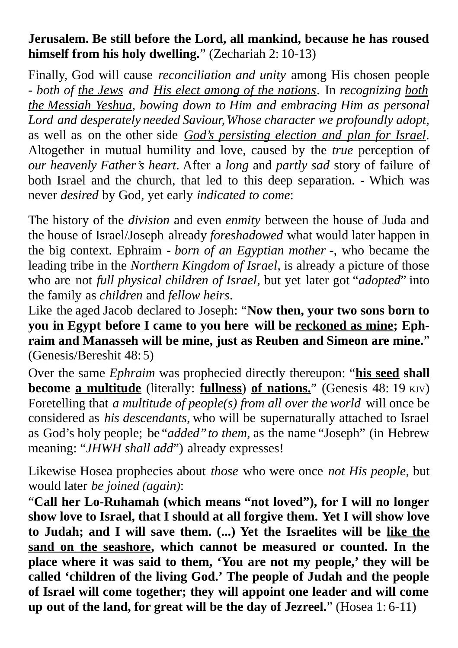#### **Jerusalem. Be still before the Lord, all mankind, because he has roused himself from his holy dwelling.**" (Zechariah 2: 10-13)

Finally, God will cause *reconciliation and unity* among His chosen people - *both of the Jews and His elect among of the nations*. In *recognizing both the Messiah Yeshua*, *bowing down to Him and embracing Him as personal Lord and desperately needed Saviour,Whose character we profoundly adopt*, as well as on the other side *God's persisting election and plan for Israel*. Altogether in mutual humility and love, caused by the *true* perception of *our heavenly Father's heart*. After a *long* and *partly sad* story of failure of both Israel and the church, that led to this deep separation. - Which was never *desired* by God, yet early *indicated to come*:

The history of the *division* and even *enmity* between the house of Juda and the house of Israel/Joseph already *foreshadowed* what would later happen in the big context. Ephraim - *born of an Egyptian mother* -, who became the leading tribe in the *Northern Kingdom of Israel*, is already a picture of those who are not *full physical children of Israel*, but yet later got "*adopted*" into the family as *children* and *fellow heirs*.

Like the aged Jacob declared to Joseph: "**Now then, your two sons born to you in Egypt before I came to you here will be reckoned as mine; Ephraim and Manasseh will be mine, just as Reuben and Simeon are mine.**" (Genesis/Bereshit 48: 5)

Over the same *Ephraim* was prophecied directly thereupon: "**his seed shall become a multitude** (literally: **fullness**) **of nations.**" (Genesis 48: 19 KJV) Foretelling that *a multitude of people(s) from all over the world* will once be considered as *his descendants*, who will be supernaturally attached to Israel as God's holy people; be "*added"to them,* as the name "Joseph" (in Hebrew meaning: "*JHWH shall add*") already expresses!

Likewise Hosea prophecies about *those* who were once *not His people*, but would later *be joined (again)*:

"**Call her Lo-Ruhamah (which means "not loved"), for I will no longer show love to Israel, that I should at all forgive them. Yet I will show love to Judah; and I will save them. (...) Yet the Israelites will be like the sand on the seashore, which cannot be measured or counted. In the place where it was said to them, 'You are not my people,' they will be called 'children of the living God.' The people of Judah and the people of Israel will come together; they will appoint one leader and will come up out of the land, for great will be the day of Jezreel.**" (Hosea 1: 6-11)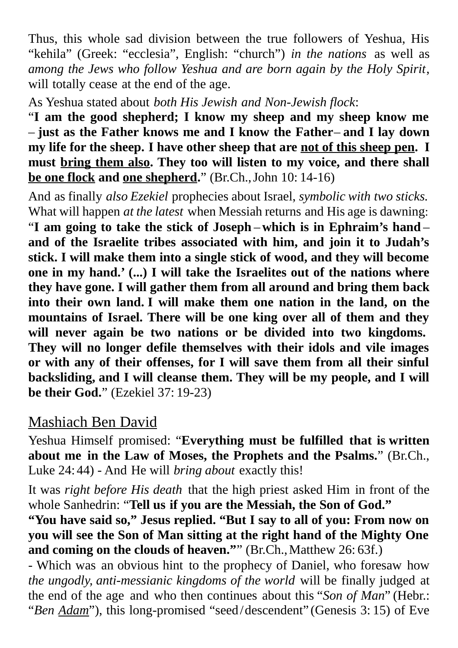Thus, this whole sad division between the true followers of Yeshua, His "kehila" (Greek: "ecclesia", English: "church") *in the nations* as well as *among the Jews who follow Yeshua and are born again by the Holy Spirit*, will totally cease at the end of the age.

As Yeshua stated about *both His Jewish and Non-Jewish flock*:

"**I am the good shepherd; I know my sheep and my sheep know me** – **just as the Father knows me and I know the Father**– **and I lay down my life for the sheep. I have other sheep that are not of this sheep pen. I must bring them also. They too will listen to my voice, and there shall be one flock and one shepherd.**" (Br.Ch.,John 10: 14-16)

And as finally *also Ezekiel* prophecies about Israel, *symbolic with two sticks.* What will happen *at the latest* when Messiah returns and His age is dawning:

"**I am going to take the stick of Joseph** –**which is in Ephraim's hand** – **and of the Israelite tribes associated with him, and join it to Judah's stick. I will make them into a single stick of wood, and they will become one in my hand.' (...) I will take the Israelites out of the nations where they have gone. I will gather them from all around and bring them back into their own land. I will make them one nation in the land, on the mountains of Israel. There will be one king over all of them and they will never again be two nations or be divided into two kingdoms. They will no longer defile themselves with their idols and vile images or with any of their offenses, for I will save them from all their sinful backsliding, and I will cleanse them. They will be my people, and I will be their God.**" (Ezekiel 37: 19-23)

### Mashiach Ben David

Yeshua Himself promised: "**Everything must be fulfilled that is written about me in the Law of Moses, the Prophets and the Psalms.**" (Br.Ch., Luke 24: 44) - And He will *bring about* exactly this!

It was *right before His death* that the high priest asked Him in front of the whole Sanhedrin: "**Tell us if you are the Messiah, the Son of God."**

**"You have said so," Jesus replied. "But I say to all of you: From now on you will see the Son of Man sitting at the right hand of the Mighty One** and coming on the clouds of heaven."" (Br.Ch., Matthew 26: 63f.)

- Which was an obvious hint to the prophecy of Daniel, who foresaw how *the ungodly, anti-messianic kingdoms of the world* will be finally judged at the end of the age and who then continues about this "*Son of Man*" (Hebr.: "*Ben Adam*"), this long-promised "seed/descendent" (Genesis 3: 15) of Eve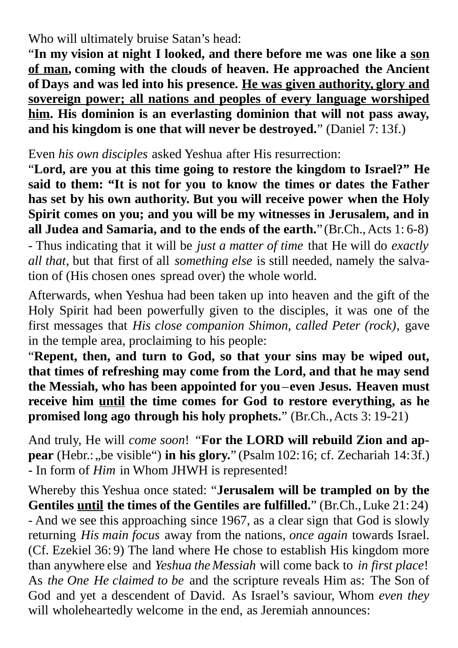Who will ultimately bruise Satan's head:

"**In my vision at night I looked, and there before me was one like a son of man, coming with the clouds of heaven. He approached the Ancient of Days and was led into his presence. He was given authority, glory and sovereign power; all nations and peoples of every language worshiped him. His dominion is an everlasting dominion that will not pass away, and his kingdom is one that will never be destroyed.**" (Daniel 7: 13f.)

Even *his own disciples* asked Yeshua after His resurrection:

"**Lord, are you at this time going to restore the kingdom to Israel?" He said to them: "It is not for you to know the times or dates the Father has set by his own authority. But you will receive power when the Holy Spirit comes on you; and you will be my witnesses in Jerusalem, and in all Judea and Samaria, and to the ends of the earth.**" (Br.Ch.,Acts 1: 6-8) - Thus indicating that it will be *just a matter of time* that He will do *exactly all that*, but that first of all *something else* is still needed, namely the salvation of (His chosen ones spread over) the whole world.

Afterwards, when Yeshua had been taken up into heaven and the gift of the Holy Spirit had been powerfully given to the disciples, it was one of the first messages that *His close companion Shimon, called Peter (rock)*, gave in the temple area, proclaiming to his people:

"**Repent, then, and turn to God, so that your sins may be wiped out, that times of refreshing may come from the Lord, and that he may send the Messiah, who has been appointed for you**–**even Jesus. Heaven must receive him until the time comes for God to restore everything, as he promised long ago through his holy prophets.**" (Br.Ch.,Acts 3: 19-21)

And truly, He will *come soon*! "**For the LORD will rebuild Zion and appear** (Hebr.: "be visible") **in his glory.**" (Psalm 102:16; cf. Zechariah 14:3f.) - In form of *Him* in Whom JHWH is represented!

Whereby this Yeshua once stated: "**Jerusalem will be trampled on by the Gentiles until the times of the Gentiles are fulfilled.**" (Br.Ch.,Luke 21:24) - And we see this approaching since 1967, as a clear sign that God is slowly returning *His main focus* away from the nations, *once again* towards Israel. (Cf. Ezekiel 36: 9) The land where He chose to establish His kingdom more than anywhere else and *Yeshua the Messiah* will come back to *in first place*! As *the One He claimed to be* and the scripture reveals Him as: The Son of God and yet a descendent of David. As Israel's saviour, Whom *even they* will wholeheartedly welcome in the end, as Jeremiah announces: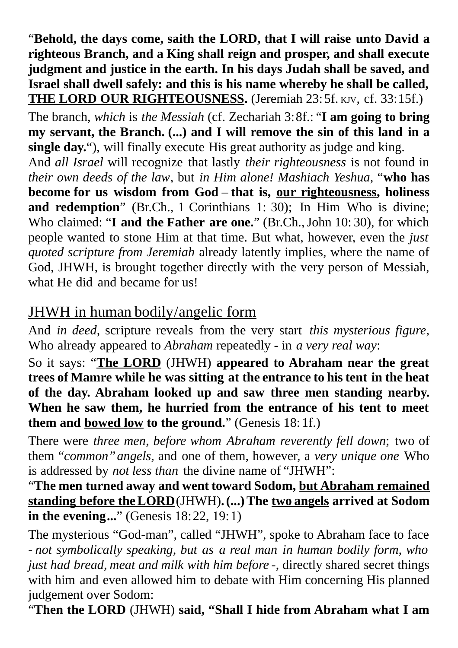"**Behold, the days come, saith the LORD, that I will raise unto David a righteous Branch, and a King shall reign and prosper, and shall execute judgment and justice in the earth. In his days Judah shall be saved, and Israel shall dwell safely: and this is his name whereby he shall be called, THE LORD OUR RIGHTEOUSNESS.** (Jeremiah 23:5f. KJV, cf. 33:15f.)

The branch, *which* is *the Messiah* (cf. Zechariah 3:8f.: "**I am going to bring my servant, the Branch. (...) and I will remove the sin of this land in a single day.**"), will finally execute His great authority as judge and king.

And *all Israel* will recognize that lastly *their righteousness* is not found in *their own deeds of the law*, but *in Him alone! Mashiach Yeshua, "***who has become for us wisdom from God** – **that is, our righteousness, holiness and redemption**" (Br.Ch., 1 Corinthians 1: 30); In Him Who is divine; Who claimed: "**I and the Father are one.**" (Br.Ch.,John 10: 30), for which people wanted to stone Him at that time. But what, however, even the *just quoted scripture from Jeremiah* already latently implies, where the name of God, JHWH, is brought together directly with the very person of Messiah, what He did and became for us!

## JHWH in human bodily /angelic form

And *in deed*, scripture reveals from the very start *this mysterious figure*, Who already appeared to *Abraham* repeatedly - in *a very real way*:

So it says: "**The LORD** (JHWH) **appeared to Abraham near the great trees of Mamre while he was sitting at the entrance to his tent in the heat of the day. Abraham looked up and saw three men standing nearby. When he saw them, he hurried from the entrance of his tent to meet them and bowed low to the ground.**" (Genesis 18: 1f.)

There were *three men*, *before whom Abraham reverently fell down*; two of them "*common"angels*, and one of them, however, a *very unique one* Who is addressed by *not less than* the divine name of "JHWH":

"**The men turned away and went toward Sodom, but Abraham remained standing before theLORD**(JHWH)**.(...)The two angels arrived at Sodom in the evening...**" (Genesis 18:22, 19:1)

The mysterious "God-man", called "JHWH", spoke to Abraham face to face - *not symbolically speaking, but as a real man in human bodily form, who just had bread, meat and milk with him before* -, directly shared secret things with him and even allowed him to debate with Him concerning His planned judgement over Sodom:

"**Then the LORD** (JHWH) **said, "Shall I hide from Abraham what I am**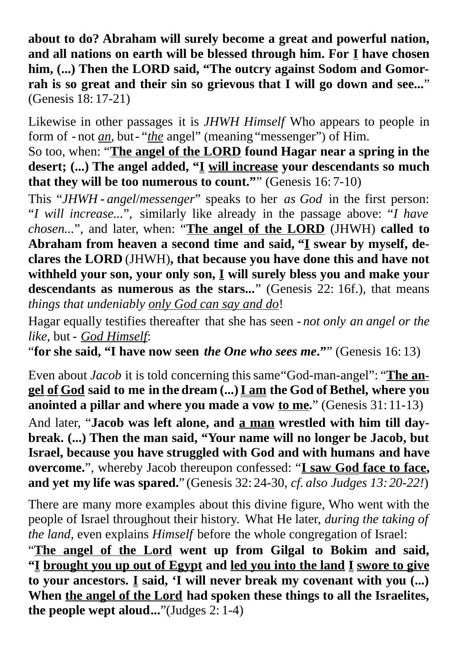**about to do? Abraham will surely become a great and powerful nation, and all nations on earth will be blessed through him. For I have chosen him, (...) Then the LORD said, "The outcry against Sodom and Gomorrah is so great and their sin so grievous that I will go down and see...**" (Genesis 18: 17-21)

Likewise in other passages it is *JHWH Himself* Who appears to people in form of - not *an,* but- "*the* angel" (meaning "messenger") of Him.

So too, when: "**The angel of the LORD found Hagar near a spring in the desert; (...) The angel added, "I will increase your descendants so much that they will be too numerous to count."**" (Genesis 16: 7-10)

This "*JHWH - angel*/*messenger*" speaks to her *as God* in the first person: "*I will increase...*", similarly like already in the passage above: "*I have chosen...*", and later, when: "**The angel of the LORD** (JHWH) **called to Abraham from heaven a second time and said, "I swear by myself, declares the LORD** (JHWH)**, that because you have done this and have not withheld your son, your only son, I will surely bless you and make your descendants as numerous as the stars...**" (Genesis 22: 16f.), that means *things that undeniably only God can say and do*!

Hagar equally testifies thereafter that she has seen - *not only an angel or the like,* but - *God Himself*:

"**for she said, "I have now seen** *the One who sees me***."**" (Genesis 16: 13)

Even about *Jacob* it is told concerning thissame"God-man-angel": " **The an gel of God said to me in the dream (...)I am the God of Bethel, where you anointed a pillar and where you made a vow to me.**" (Genesis 31: 11-13) And later, "**Jacob was left alone, and a man wrestled with him till daybreak. (...) Then the man said, "Your name will no longer be Jacob, but Israel, because you have struggled with God and with humans and have overcome.**", whereby Jacob thereupon confessed: "**I saw God face to face, and yet my life was spared.**" (Genesis 32: 24-30, *cf. also Judges 13: 20-22!*)

There are many more examples about this divine figure, Who went with the people of Israel throughout their history. What He later, *during the taking of the land*, even explains *Himself* before the whole congregation of Israel:

"**The angel of the Lord went up from Gilgal to Bokim and said, "I brought you up out of Egypt and led you into the land I swore to give to your ancestors. I said, 'I will never break my covenant with you (...) When the angel of the Lord had spoken these things to all the Israelites, the people wept aloud...**"(Judges 2: 1-4)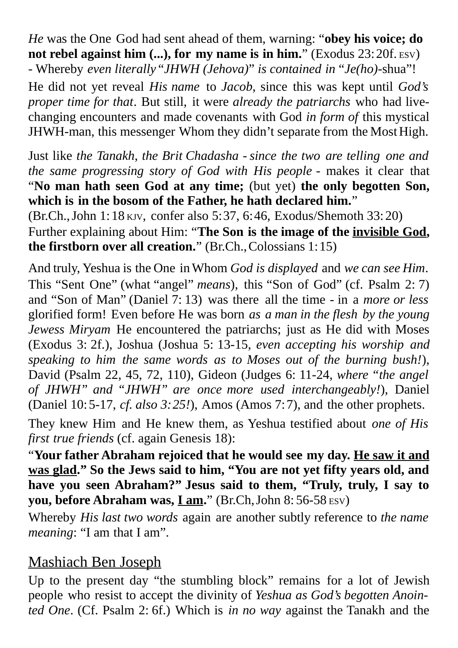*He* was the One God had sent ahead of them, warning: "**obey his voice; do not rebel against him (...), for my name is in him." (Exodus 23:20f. ESV)** - Whereby *even literally* "*JHWH (Jehova)*" *is contained in* "*Je(ho)*-shua"! He did not yet reveal *His name* to *Jacob*, since this was kept until *God's proper time for that*. But still, it were *already the patriarchs* who had livechanging encounters and made covenants with God *in form of* this mystical JHWH-man, this messenger Whom they didn't separate from the Most High.

Just like *the Tanakh*, *the Brit Chadasha* -*since the two are telling one and the same progressing story of God with His people -* makes it clear that "**No man hath seen God at any time;** (but yet) **the only begotten Son, which is in the bosom of the Father, he hath declared him.**"

(Br.Ch.,John 1:18 KJV, confer also 5:37, 6:46, Exodus/Shemoth 33: 20) Further explaining about Him: "**The Son is the image of the invisible God, the firstborn over all creation.**" (Br.Ch., Colossians 1:15)

And truly, Yeshua is the One inWhom *God is displayed* and *we can see Him*. This "Sent One" (what "angel" *means*), this "Son of God" (cf. Psalm 2: 7) and "Son of Man" (Daniel 7: 13) was there all the time - in a *more or less* glorified form! Even before He was born *as a man in the flesh by the young Jewess Miryam* He encountered the patriarchs; just as He did with Moses (Exodus 3: 2f.), Joshua (Joshua 5: 13-15, *even accepting his worship and speaking to him the same words as to Moses out of the burning bush!*), David (Psalm 22, 45, 72, 110), Gideon (Judges 6: 11-24, *where "the angel of JHWH" and "JHWH" are once more used interchangeably!*), Daniel (Daniel 10:5-17, *cf. also 3:25!*), Amos (Amos 7:7), and the other prophets.

They knew Him and He knew them, as Yeshua testified about *one of His first true friends* (cf. again Genesis 18):

"**Your father Abraham rejoiced that he would see my day. He saw it and was glad." So the Jews said to him, "You are not yet fifty years old, and have you seen Abraham?" Jesus said to them, "Truly, truly, I say to you, before Abraham was, I am.**" (Br.Ch,John 8: 56-58 ESV)

Whereby *His last two words* again are another subtly reference to *the name meaning*: "I am that I am".

#### Mashiach Ben Joseph

Up to the present day "the stumbling block" remains for a lot of Jewish people who resist to accept the divinity of *Yeshua as God's begotten Anointed One*. (Cf. Psalm 2: 6f.) Which is *in no way* against the Tanakh and the